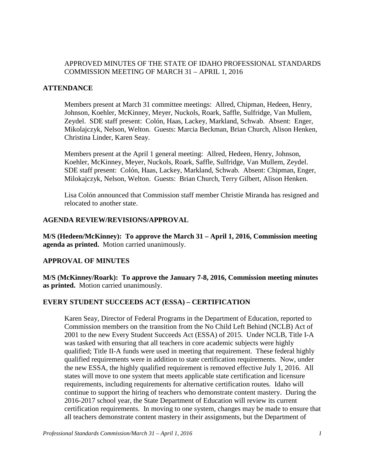## APPROVED MINUTES OF THE STATE OF IDAHO PROFESSIONAL STANDARDS COMMISSION MEETING OF MARCH 31 – APRIL 1, 2016

## **ATTENDANCE**

Members present at March 31 committee meetings: Allred, Chipman, Hedeen, Henry, Johnson, Koehler, McKinney, Meyer, Nuckols, Roark, Saffle, Sulfridge, Van Mullem, Zeydel. SDE staff present: Colón, Haas, Lackey, Markland, Schwab. Absent: Enger, Mikolajczyk, Nelson, Welton. Guests: Marcia Beckman, Brian Church, Alison Henken, Christina Linder, Karen Seay.

Members present at the April 1 general meeting: Allred, Hedeen, Henry, Johnson, Koehler, McKinney, Meyer, Nuckols, Roark, Saffle, Sulfridge, Van Mullem, Zeydel. SDE staff present: Colón, Haas, Lackey, Markland, Schwab. Absent: Chipman, Enger, Milokajczyk, Nelson, Welton. Guests: Brian Church, Terry Gilbert, Alison Henken.

Lisa Colón announced that Commission staff member Christie Miranda has resigned and relocated to another state.

## **AGENDA REVIEW/REVISIONS/APPROVAL**

**M/S (Hedeen/McKinney): To approve the March 31 – April 1, 2016, Commission meeting agenda as printed.** Motion carried unanimously.

## **APPROVAL OF MINUTES**

**M/S (McKinney/Roark): To approve the January 7-8, 2016, Commission meeting minutes as printed.** Motion carried unanimously.

## **EVERY STUDENT SUCCEEDS ACT (ESSA) – CERTIFICATION**

Karen Seay, Director of Federal Programs in the Department of Education, reported to Commission members on the transition from the No Child Left Behind (NCLB) Act of 2001 to the new Every Student Succeeds Act (ESSA) of 2015. Under NCLB, Title I-A was tasked with ensuring that all teachers in core academic subjects were highly qualified; Title II-A funds were used in meeting that requirement. These federal highly qualified requirements were in addition to state certification requirements. Now, under the new ESSA, the highly qualified requirement is removed effective July 1, 2016. All states will move to one system that meets applicable state certification and licensure requirements, including requirements for alternative certification routes. Idaho will continue to support the hiring of teachers who demonstrate content mastery. During the 2016-2017 school year, the State Department of Education will review its current certification requirements. In moving to one system, changes may be made to ensure that all teachers demonstrate content mastery in their assignments, but the Department of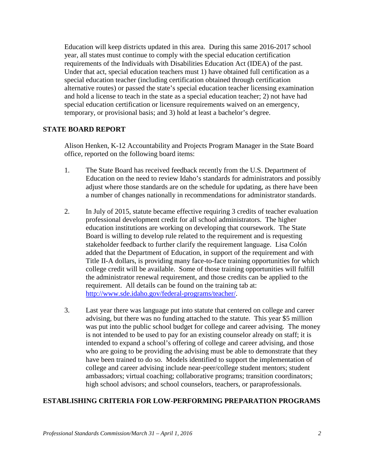Education will keep districts updated in this area. During this same 2016-2017 school year, all states must continue to comply with the special education certification requirements of the Individuals with Disabilities Education Act (IDEA) of the past. Under that act, special education teachers must 1) have obtained full certification as a special education teacher (including certification obtained through certification alternative routes) or passed the state's special education teacher licensing examination and hold a license to teach in the state as a special education teacher; 2) not have had special education certification or licensure requirements waived on an emergency, temporary, or provisional basis; and 3) hold at least a bachelor's degree.

### **STATE BOARD REPORT**

Alison Henken, K-12 Accountability and Projects Program Manager in the State Board office, reported on the following board items:

- 1. The State Board has received feedback recently from the U.S. Department of Education on the need to review Idaho's standards for administrators and possibly adjust where those standards are on the schedule for updating, as there have been a number of changes nationally in recommendations for administrator standards.
- 2. In July of 2015, statute became effective requiring 3 credits of teacher evaluation professional development credit for all school administrators. The higher education institutions are working on developing that coursework. The State Board is willing to develop rule related to the requirement and is requesting stakeholder feedback to further clarify the requirement language. Lisa Colón added that the Department of Education, in support of the requirement and with Title II-A dollars, is providing many face-to-face training opportunities for which college credit will be available. Some of those training opportunities will fulfill the administrator renewal requirement, and those credits can be applied to the requirement. All details can be found on the training tab at: [http://www.sde.idaho.gov/federal-programs/teacher/.](http://www.sde.idaho.gov/federal-programs/teacher/)
- 3. Last year there was language put into statute that centered on college and career advising, but there was no funding attached to the statute. This year \$5 million was put into the public school budget for college and career advising. The money is not intended to be used to pay for an existing counselor already on staff; it is intended to expand a school's offering of college and career advising, and those who are going to be providing the advising must be able to demonstrate that they have been trained to do so. Models identified to support the implementation of college and career advising include near-peer/college student mentors; student ambassadors; virtual coaching; collaborative programs; transition coordinators; high school advisors; and school counselors, teachers, or paraprofessionals.

## **ESTABLISHING CRITERIA FOR LOW-PERFORMING PREPARATION PROGRAMS**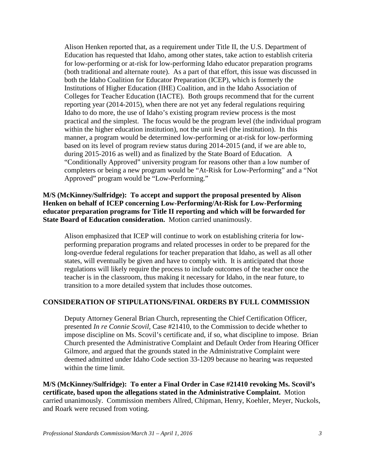Alison Henken reported that, as a requirement under Title II, the U.S. Department of Education has requested that Idaho, among other states, take action to establish criteria for low-performing or at-risk for low-performing Idaho educator preparation programs (both traditional and alternate route). As a part of that effort, this issue was discussed in both the Idaho Coalition for Educator Preparation (ICEP), which is formerly the Institutions of Higher Education (IHE) Coalition, and in the Idaho Association of Colleges for Teacher Education (IACTE). Both groups recommend that for the current reporting year (2014-2015), when there are not yet any federal regulations requiring Idaho to do more, the use of Idaho's existing program review process is the most practical and the simplest. The focus would be the program level (the individual program within the higher education institution), not the unit level (the institution). In this manner, a program would be determined low-performing or at-risk for low-performing based on its level of program review status during 2014-2015 (and, if we are able to, during 2015-2016 as well) and as finalized by the State Board of Education. A "Conditionally Approved" university program for reasons other than a low number of completers or being a new program would be "At-Risk for Low-Performing" and a "Not Approved" program would be "Low-Performing."

### **M/S (McKinney/Sulfridge): To accept and support the proposal presented by Alison Henken on behalf of ICEP concerning Low-Performing/At-Risk for Low-Performing educator preparation programs for Title II reporting and which will be forwarded for State Board of Education consideration.** Motion carried unanimously.

Alison emphasized that ICEP will continue to work on establishing criteria for lowperforming preparation programs and related processes in order to be prepared for the long-overdue federal regulations for teacher preparation that Idaho, as well as all other states, will eventually be given and have to comply with. It is anticipated that those regulations will likely require the process to include outcomes of the teacher once the teacher is in the classroom, thus making it necessary for Idaho, in the near future, to transition to a more detailed system that includes those outcomes.

## **CONSIDERATION OF STIPULATIONS/FINAL ORDERS BY FULL COMMISSION**

Deputy Attorney General Brian Church, representing the Chief Certification Officer, presented *In re Connie Scovil*, Case #21410, to the Commission to decide whether to impose discipline on Ms. Scovil's certificate and, if so, what discipline to impose. Brian Church presented the Administrative Complaint and Default Order from Hearing Officer Gilmore, and argued that the grounds stated in the Administrative Complaint were deemed admitted under Idaho Code section 33-1209 because no hearing was requested within the time limit.

**M/S (McKinney/Sulfridge): To enter a Final Order in Case #21410 revoking Ms. Scovil's certificate, based upon the allegations stated in the Administrative Complaint.** Motion carried unanimously. Commission members Allred, Chipman, Henry, Koehler, Meyer, Nuckols, and Roark were recused from voting.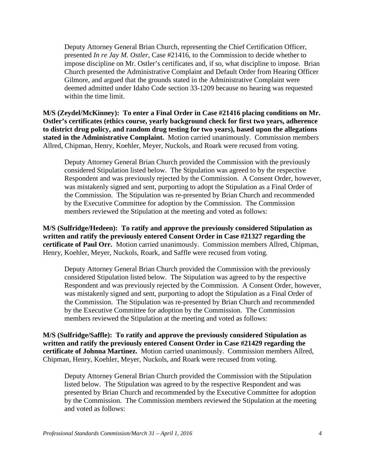Deputy Attorney General Brian Church, representing the Chief Certification Officer, presented *In re Jay M. Ostler*, Case #21416, to the Commission to decide whether to impose discipline on Mr. Ostler's certificates and, if so, what discipline to impose. Brian Church presented the Administrative Complaint and Default Order from Hearing Officer Gilmore, and argued that the grounds stated in the Administrative Complaint were deemed admitted under Idaho Code section 33-1209 because no hearing was requested within the time limit.

**M/S (Zeydel/McKinney): To enter a Final Order in Case #21416 placing conditions on Mr. Ostler's certificates (ethics course, yearly background check for first two years, adherence to district drug policy, and random drug testing for two years), based upon the allegations stated in the Administrative Complaint.** Motion carried unanimously. Commission members Allred, Chipman, Henry, Koehler, Meyer, Nuckols, and Roark were recused from voting.

Deputy Attorney General Brian Church provided the Commission with the previously considered Stipulation listed below. The Stipulation was agreed to by the respective Respondent and was previously rejected by the Commission. A Consent Order, however, was mistakenly signed and sent, purporting to adopt the Stipulation as a Final Order of the Commission. The Stipulation was re-presented by Brian Church and recommended by the Executive Committee for adoption by the Commission. The Commission members reviewed the Stipulation at the meeting and voted as follows:

**M/S (Sulfridge/Hedeen): To ratify and approve the previously considered Stipulation as written and ratify the previously entered Consent Order in Case #21327 regarding the certificate of Paul Orr.** Motion carried unanimously. Commission members Allred, Chipman, Henry, Koehler, Meyer, Nuckols, Roark, and Saffle were recused from voting.

Deputy Attorney General Brian Church provided the Commission with the previously considered Stipulation listed below. The Stipulation was agreed to by the respective Respondent and was previously rejected by the Commission. A Consent Order, however, was mistakenly signed and sent, purporting to adopt the Stipulation as a Final Order of the Commission. The Stipulation was re-presented by Brian Church and recommended by the Executive Committee for adoption by the Commission. The Commission members reviewed the Stipulation at the meeting and voted as follows:

**M/S (Sulfridge/Saffle): To ratify and approve the previously considered Stipulation as written and ratify the previously entered Consent Order in Case #21429 regarding the certificate of Johnna Martinez.** Motion carried unanimously. Commission members Allred, Chipman, Henry, Koehler, Meyer, Nuckols, and Roark were recused from voting.

Deputy Attorney General Brian Church provided the Commission with the Stipulation listed below. The Stipulation was agreed to by the respective Respondent and was presented by Brian Church and recommended by the Executive Committee for adoption by the Commission. The Commission members reviewed the Stipulation at the meeting and voted as follows: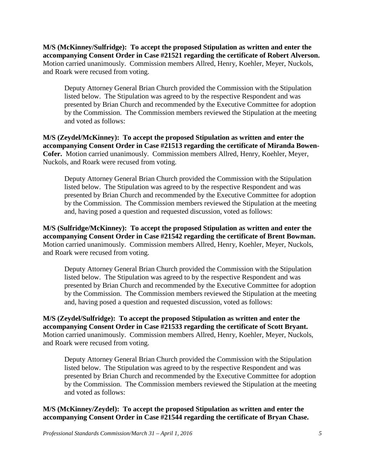**M/S (McKinney/Sulfridge): To accept the proposed Stipulation as written and enter the accompanying Consent Order in Case #21521 regarding the certificate of Robert Alverson.**  Motion carried unanimously. Commission members Allred, Henry, Koehler, Meyer, Nuckols, and Roark were recused from voting.

Deputy Attorney General Brian Church provided the Commission with the Stipulation listed below. The Stipulation was agreed to by the respective Respondent and was presented by Brian Church and recommended by the Executive Committee for adoption by the Commission. The Commission members reviewed the Stipulation at the meeting and voted as follows:

**M/S (Zeydel/McKinney): To accept the proposed Stipulation as written and enter the accompanying Consent Order in Case #21513 regarding the certificate of Miranda Bowen-Cofer.** Motion carried unanimously. Commission members Allred, Henry, Koehler, Meyer, Nuckols, and Roark were recused from voting.

Deputy Attorney General Brian Church provided the Commission with the Stipulation listed below. The Stipulation was agreed to by the respective Respondent and was presented by Brian Church and recommended by the Executive Committee for adoption by the Commission. The Commission members reviewed the Stipulation at the meeting and, having posed a question and requested discussion, voted as follows:

**M/S (Sulfridge/McKinney): To accept the proposed Stipulation as written and enter the accompanying Consent Order in Case #21542 regarding the certificate of Brent Bowman.**  Motion carried unanimously. Commission members Allred, Henry, Koehler, Meyer, Nuckols, and Roark were recused from voting.

Deputy Attorney General Brian Church provided the Commission with the Stipulation listed below. The Stipulation was agreed to by the respective Respondent and was presented by Brian Church and recommended by the Executive Committee for adoption by the Commission. The Commission members reviewed the Stipulation at the meeting and, having posed a question and requested discussion, voted as follows:

**M/S (Zeydel/Sulfridge): To accept the proposed Stipulation as written and enter the accompanying Consent Order in Case #21533 regarding the certificate of Scott Bryant.**  Motion carried unanimously. Commission members Allred, Henry, Koehler, Meyer, Nuckols, and Roark were recused from voting.

Deputy Attorney General Brian Church provided the Commission with the Stipulation listed below. The Stipulation was agreed to by the respective Respondent and was presented by Brian Church and recommended by the Executive Committee for adoption by the Commission. The Commission members reviewed the Stipulation at the meeting and voted as follows:

## **M/S (McKinney/Zeydel): To accept the proposed Stipulation as written and enter the accompanying Consent Order in Case #21544 regarding the certificate of Bryan Chase.**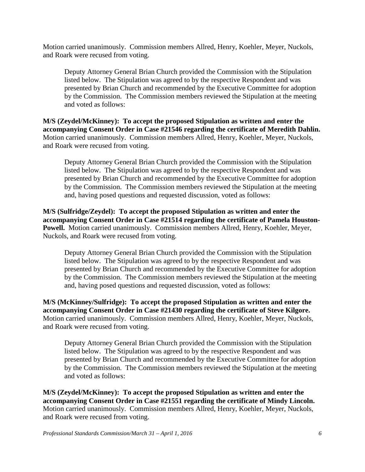Motion carried unanimously. Commission members Allred, Henry, Koehler, Meyer, Nuckols, and Roark were recused from voting.

Deputy Attorney General Brian Church provided the Commission with the Stipulation listed below. The Stipulation was agreed to by the respective Respondent and was presented by Brian Church and recommended by the Executive Committee for adoption by the Commission. The Commission members reviewed the Stipulation at the meeting and voted as follows:

**M/S (Zeydel/McKinney): To accept the proposed Stipulation as written and enter the accompanying Consent Order in Case #21546 regarding the certificate of Meredith Dahlin.**  Motion carried unanimously. Commission members Allred, Henry, Koehler, Meyer, Nuckols, and Roark were recused from voting.

Deputy Attorney General Brian Church provided the Commission with the Stipulation listed below. The Stipulation was agreed to by the respective Respondent and was presented by Brian Church and recommended by the Executive Committee for adoption by the Commission. The Commission members reviewed the Stipulation at the meeting and, having posed questions and requested discussion, voted as follows:

**M/S (Sulfridge/Zeydel): To accept the proposed Stipulation as written and enter the accompanying Consent Order in Case #21514 regarding the certificate of Pamela Houston-Powell.** Motion carried unanimously. Commission members Allred, Henry, Koehler, Meyer, Nuckols, and Roark were recused from voting.

Deputy Attorney General Brian Church provided the Commission with the Stipulation listed below. The Stipulation was agreed to by the respective Respondent and was presented by Brian Church and recommended by the Executive Committee for adoption by the Commission. The Commission members reviewed the Stipulation at the meeting and, having posed questions and requested discussion, voted as follows:

**M/S (McKinney/Sulfridge): To accept the proposed Stipulation as written and enter the accompanying Consent Order in Case #21430 regarding the certificate of Steve Kilgore.**  Motion carried unanimously. Commission members Allred, Henry, Koehler, Meyer, Nuckols, and Roark were recused from voting.

Deputy Attorney General Brian Church provided the Commission with the Stipulation listed below. The Stipulation was agreed to by the respective Respondent and was presented by Brian Church and recommended by the Executive Committee for adoption by the Commission. The Commission members reviewed the Stipulation at the meeting and voted as follows:

**M/S (Zeydel/McKinney): To accept the proposed Stipulation as written and enter the accompanying Consent Order in Case #21551 regarding the certificate of Mindy Lincoln.**  Motion carried unanimously. Commission members Allred, Henry, Koehler, Meyer, Nuckols, and Roark were recused from voting.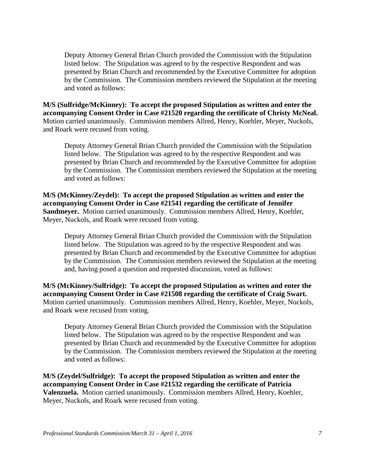Deputy Attorney General Brian Church provided the Commission with the Stipulation listed below. The Stipulation was agreed to by the respective Respondent and was presented by Brian Church and recommended by the Executive Committee for adoption by the Commission. The Commission members reviewed the Stipulation at the meeting and voted as follows:

**M/S (Sulfridge/McKinney): To accept the proposed Stipulation as written and enter the accompanying Consent Order in Case #21520 regarding the certificate of Christy McNeal.**  Motion carried unanimously. Commission members Allred, Henry, Koehler, Meyer, Nuckols, and Roark were recused from voting.

Deputy Attorney General Brian Church provided the Commission with the Stipulation listed below. The Stipulation was agreed to by the respective Respondent and was presented by Brian Church and recommended by the Executive Committee for adoption by the Commission. The Commission members reviewed the Stipulation at the meeting and voted as follows:

**M/S (McKinney/Zeydel): To accept the proposed Stipulation as written and enter the accompanying Consent Order in Case #21541 regarding the certificate of Jennifer Sandmeyer.** Motion carried unanimously. Commission members Allred, Henry, Koehler, Meyer, Nuckols, and Roark were recused from voting.

Deputy Attorney General Brian Church provided the Commission with the Stipulation listed below. The Stipulation was agreed to by the respective Respondent and was presented by Brian Church and recommended by the Executive Committee for adoption by the Commission. The Commission members reviewed the Stipulation at the meeting and, having posed a question and requested discussion, voted as follows:

**M/S (McKinney/Sulfridge): To accept the proposed Stipulation as written and enter the accompanying Consent Order in Case #21508 regarding the certificate of Craig Swart.**  Motion carried unanimously. Commission members Allred, Henry, Koehler, Meyer, Nuckols, and Roark were recused from voting.

Deputy Attorney General Brian Church provided the Commission with the Stipulation listed below. The Stipulation was agreed to by the respective Respondent and was presented by Brian Church and recommended by the Executive Committee for adoption by the Commission. The Commission members reviewed the Stipulation at the meeting and voted as follows:

**M/S (Zeydel/Sulfridge): To accept the proposed Stipulation as written and enter the accompanying Consent Order in Case #21532 regarding the certificate of Patricia Valenzuela.** Motion carried unanimously. Commission members Allred, Henry, Koehler, Meyer, Nuckols, and Roark were recused from voting.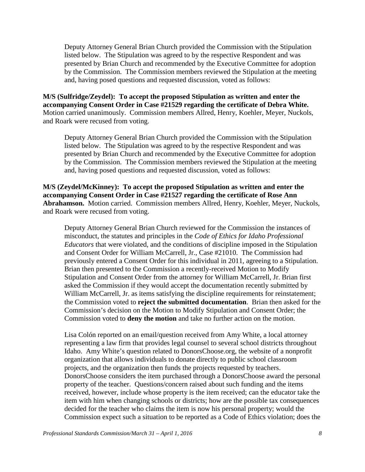Deputy Attorney General Brian Church provided the Commission with the Stipulation listed below. The Stipulation was agreed to by the respective Respondent and was presented by Brian Church and recommended by the Executive Committee for adoption by the Commission. The Commission members reviewed the Stipulation at the meeting and, having posed questions and requested discussion, voted as follows:

**M/S (Sulfridge/Zeydel): To accept the proposed Stipulation as written and enter the accompanying Consent Order in Case #21529 regarding the certificate of Debra White.**  Motion carried unanimously. Commission members Allred, Henry, Koehler, Meyer, Nuckols, and Roark were recused from voting.

Deputy Attorney General Brian Church provided the Commission with the Stipulation listed below. The Stipulation was agreed to by the respective Respondent and was presented by Brian Church and recommended by the Executive Committee for adoption by the Commission. The Commission members reviewed the Stipulation at the meeting and, having posed questions and requested discussion, voted as follows:

**M/S (Zeydel/McKinney): To accept the proposed Stipulation as written and enter the accompanying Consent Order in Case #21527 regarding the certificate of Rose Ann Abrahamson.** Motion carried. Commission members Allred, Henry, Koehler, Meyer, Nuckols, and Roark were recused from voting.

Deputy Attorney General Brian Church reviewed for the Commission the instances of misconduct, the statutes and principles in the *Code of Ethics for Idaho Professional Educators* that were violated, and the conditions of discipline imposed in the Stipulation and Consent Order for William McCarrell, Jr., Case #21010. The Commission had previously entered a Consent Order for this individual in 2011, agreeing to a Stipulation. Brian then presented to the Commission a recently-received Motion to Modify Stipulation and Consent Order from the attorney for William McCarrell, Jr. Brian first asked the Commission if they would accept the documentation recently submitted by William McCarrell, Jr. as items satisfying the discipline requirements for reinstatement; the Commission voted to **reject the submitted documentation**. Brian then asked for the Commission's decision on the Motion to Modify Stipulation and Consent Order; the Commission voted to **deny the motion** and take no further action on the motion.

Lisa Colón reported on an email/question received from Amy White, a local attorney representing a law firm that provides legal counsel to several school districts throughout Idaho. Amy White's question related to DonorsChoose.org, the website of a nonprofit organization that allows individuals to donate directly to public school classroom projects, and the organization then funds the projects requested by teachers. DonorsChoose considers the item purchased through a DonorsChoose award the personal property of the teacher. Questions/concern raised about such funding and the items received, however, include whose property is the item received; can the educator take the item with him when changing schools or districts; how are the possible tax consequences decided for the teacher who claims the item is now his personal property; would the Commission expect such a situation to be reported as a Code of Ethics violation; does the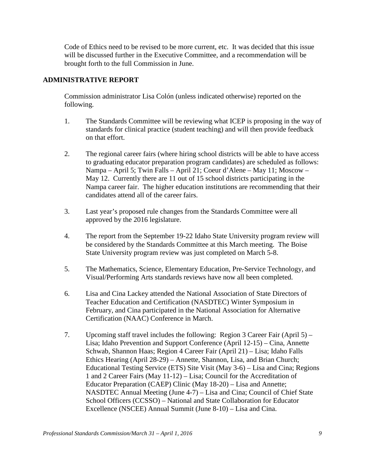Code of Ethics need to be revised to be more current, etc. It was decided that this issue will be discussed further in the Executive Committee, and a recommendation will be brought forth to the full Commission in June.

## **ADMINISTRATIVE REPORT**

Commission administrator Lisa Colón (unless indicated otherwise) reported on the following.

- 1. The Standards Committee will be reviewing what ICEP is proposing in the way of standards for clinical practice (student teaching) and will then provide feedback on that effort.
- 2. The regional career fairs (where hiring school districts will be able to have access to graduating educator preparation program candidates) are scheduled as follows: Nampa – April 5; Twin Falls – April 21; Coeur d'Alene – May 11; Moscow – May 12. Currently there are 11 out of 15 school districts participating in the Nampa career fair. The higher education institutions are recommending that their candidates attend all of the career fairs.
- 3. Last year's proposed rule changes from the Standards Committee were all approved by the 2016 legislature.
- 4. The report from the September 19-22 Idaho State University program review will be considered by the Standards Committee at this March meeting. The Boise State University program review was just completed on March 5-8.
- 5. The Mathematics, Science, Elementary Education, Pre-Service Technology, and Visual/Performing Arts standards reviews have now all been completed.
- 6. Lisa and Cina Lackey attended the National Association of State Directors of Teacher Education and Certification (NASDTEC) Winter Symposium in February, and Cina participated in the National Association for Alternative Certification (NAAC) Conference in March.
- 7. Upcoming staff travel includes the following: Region 3 Career Fair (April 5) Lisa; Idaho Prevention and Support Conference (April 12-15) – Cina, Annette Schwab, Shannon Haas; Region 4 Career Fair (April 21) – Lisa; Idaho Falls Ethics Hearing (April 28-29) – Annette, Shannon, Lisa, and Brian Church; Educational Testing Service (ETS) Site Visit (May 3-6) – Lisa and Cina; Regions 1 and 2 Career Fairs (May 11-12) – Lisa; Council for the Accreditation of Educator Preparation (CAEP) Clinic (May 18-20) – Lisa and Annette; NASDTEC Annual Meeting (June 4-7) – Lisa and Cina; Council of Chief State School Officers (CCSSO) – National and State Collaboration for Educator Excellence (NSCEE) Annual Summit (June 8-10) – Lisa and Cina.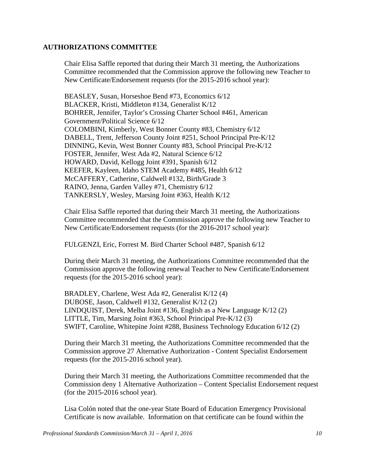#### **AUTHORIZATIONS COMMITTEE**

Chair Elisa Saffle reported that during their March 31 meeting, the Authorizations Committee recommended that the Commission approve the following new Teacher to New Certificate/Endorsement requests (for the 2015-2016 school year):

BEASLEY, Susan, Horseshoe Bend #73, Economics 6/12 BLACKER, Kristi, Middleton #134, Generalist K/12 BOHRER, Jennifer, Taylor's Crossing Charter School #461, American Government/Political Science 6/12 COLOMBINI, Kimberly, West Bonner County #83, Chemistry 6/12 DABELL, Trent, Jefferson County Joint #251, School Principal Pre-K/12 DINNING, Kevin, West Bonner County #83, School Principal Pre-K/12 FOSTER, Jennifer, West Ada #2, Natural Science 6/12 HOWARD, David, Kellogg Joint #391, Spanish 6/12 KEEFER, Kayleen, Idaho STEM Academy #485, Health 6/12 McCAFFERY, Catherine, Caldwell #132, Birth/Grade 3 RAINO, Jenna, Garden Valley #71, Chemistry 6/12 TANKERSLY, Wesley, Marsing Joint #363, Health K/12

Chair Elisa Saffle reported that during their March 31 meeting, the Authorizations Committee recommended that the Commission approve the following new Teacher to New Certificate/Endorsement requests (for the 2016-2017 school year):

FULGENZI, Eric, Forrest M. Bird Charter School #487, Spanish 6/12

During their March 31 meeting, the Authorizations Committee recommended that the Commission approve the following renewal Teacher to New Certificate/Endorsement requests (for the 2015-2016 school year):

BRADLEY, Charlene, West Ada #2, Generalist K/12 (4) DUBOSE, Jason, Caldwell #132, Generalist K/12 (2) LINDQUIST, Derek, Melba Joint #136, English as a New Language K/12 (2) LITTLE, Tim, Marsing Joint #363, School Principal Pre-K/12 (3) SWIFT, Caroline, Whitepine Joint #288, Business Technology Education 6/12 (2)

During their March 31 meeting, the Authorizations Committee recommended that the Commission approve 27 Alternative Authorization - Content Specialist Endorsement requests (for the 2015-2016 school year).

During their March 31 meeting, the Authorizations Committee recommended that the Commission deny 1 Alternative Authorization – Content Specialist Endorsement request (for the 2015-2016 school year).

Lisa Colón noted that the one-year State Board of Education Emergency Provisional Certificate is now available. Information on that certificate can be found within the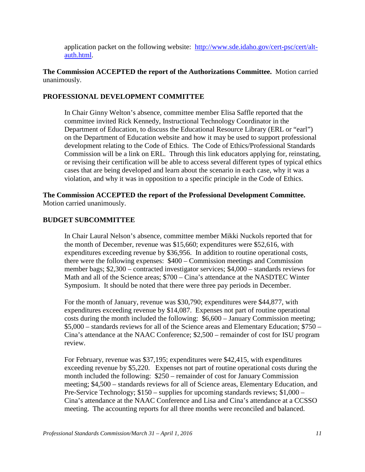application packet on the following website: [http://www.sde.idaho.gov/cert-psc/cert/alt](http://www.sde.idaho.gov/cert-psc/cert/alt-auth.html)[auth.html.](http://www.sde.idaho.gov/cert-psc/cert/alt-auth.html)

## **The Commission ACCEPTED the report of the Authorizations Committee.** Motion carried unanimously.

### **PROFESSIONAL DEVELOPMENT COMMITTEE**

In Chair Ginny Welton's absence, committee member Elisa Saffle reported that the committee invited Rick Kennedy, Instructional Technology Coordinator in the Department of Education, to discuss the Educational Resource Library (ERL or "earl") on the Department of Education website and how it may be used to support professional development relating to the Code of Ethics. The Code of Ethics/Professional Standards Commission will be a link on ERL. Through this link educators applying for, reinstating, or revising their certification will be able to access several different types of typical ethics cases that are being developed and learn about the scenario in each case, why it was a violation, and why it was in opposition to a specific principle in the Code of Ethics.

**The Commission ACCEPTED the report of the Professional Development Committee.**  Motion carried unanimously.

### **BUDGET SUBCOMMITTEE**

In Chair Laural Nelson's absence, committee member Mikki Nuckols reported that for the month of December, revenue was \$15,660; expenditures were \$52,616, with expenditures exceeding revenue by \$36,956. In addition to routine operational costs, there were the following expenses: \$400 – Commission meetings and Commission member bags; \$2,300 – contracted investigator services; \$4,000 – standards reviews for Math and all of the Science areas; \$700 – Cina's attendance at the NASDTEC Winter Symposium. It should be noted that there were three pay periods in December.

For the month of January, revenue was \$30,790; expenditures were \$44,877, with expenditures exceeding revenue by \$14,087. Expenses not part of routine operational costs during the month included the following: \$6,600 – January Commission meeting; \$5,000 – standards reviews for all of the Science areas and Elementary Education; \$750 – Cina's attendance at the NAAC Conference; \$2,500 – remainder of cost for ISU program review.

For February, revenue was \$37,195; expenditures were \$42,415, with expenditures exceeding revenue by \$5,220. Expenses not part of routine operational costs during the month included the following: \$250 – remainder of cost for January Commission meeting; \$4,500 – standards reviews for all of Science areas, Elementary Education, and Pre-Service Technology; \$150 – supplies for upcoming standards reviews; \$1,000 – Cina's attendance at the NAAC Conference and Lisa and Cina's attendance at a CCSSO meeting. The accounting reports for all three months were reconciled and balanced.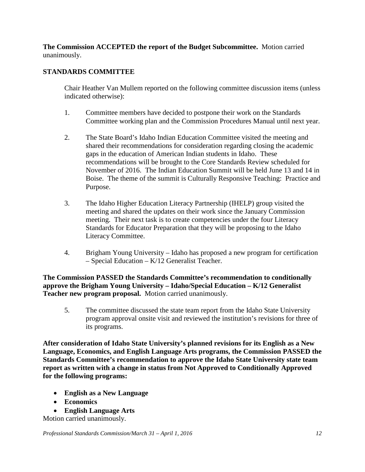**The Commission ACCEPTED the report of the Budget Subcommittee.** Motion carried unanimously.

# **STANDARDS COMMITTEE**

Chair Heather Van Mullem reported on the following committee discussion items (unless indicated otherwise):

- 1. Committee members have decided to postpone their work on the Standards Committee working plan and the Commission Procedures Manual until next year.
- 2. The State Board's Idaho Indian Education Committee visited the meeting and shared their recommendations for consideration regarding closing the academic gaps in the education of American Indian students in Idaho. These recommendations will be brought to the Core Standards Review scheduled for November of 2016. The Indian Education Summit will be held June 13 and 14 in Boise. The theme of the summit is Culturally Responsive Teaching: Practice and Purpose.
- 3. The Idaho Higher Education Literacy Partnership (IHELP) group visited the meeting and shared the updates on their work since the January Commission meeting. Their next task is to create competencies under the four Literacy Standards for Educator Preparation that they will be proposing to the Idaho Literacy Committee.
- 4. Brigham Young University Idaho has proposed a new program for certification – Special Education – K/12 Generalist Teacher.

**The Commission PASSED the Standards Committee's recommendation to conditionally approve the Brigham Young University – Idaho/Special Education – K/12 Generalist Teacher new program proposal.** Motion carried unanimously.

5. The committee discussed the state team report from the Idaho State University program approval onsite visit and reviewed the institution's revisions for three of its programs.

**After consideration of Idaho State University's planned revisions for its English as a New Language, Economics, and English Language Arts programs, the Commission PASSED the Standards Committee's recommendation to approve the Idaho State University state team report as written with a change in status from Not Approved to Conditionally Approved for the following programs:**

- **English as a New Language**
- **Economics**
- **English Language Arts**

Motion carried unanimously.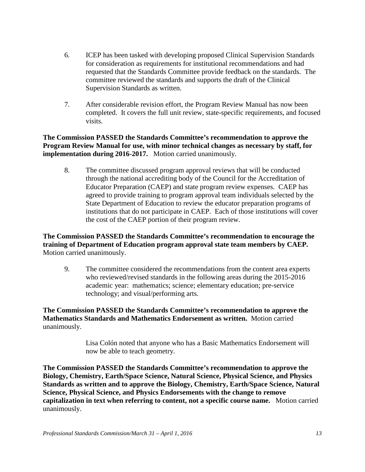- 6. ICEP has been tasked with developing proposed Clinical Supervision Standards for consideration as requirements for institutional recommendations and had requested that the Standards Committee provide feedback on the standards. The committee reviewed the standards and supports the draft of the Clinical Supervision Standards as written.
- 7. After considerable revision effort, the Program Review Manual has now been completed. It covers the full unit review, state-specific requirements, and focused visits.

**The Commission PASSED the Standards Committee's recommendation to approve the Program Review Manual for use, with minor technical changes as necessary by staff, for implementation during 2016-2017.** Motion carried unanimously.

8. The committee discussed program approval reviews that will be conducted through the national accrediting body of the Council for the Accreditation of Educator Preparation (CAEP) and state program review expenses. CAEP has agreed to provide training to program approval team individuals selected by the State Department of Education to review the educator preparation programs of institutions that do not participate in CAEP. Each of those institutions will cover the cost of the CAEP portion of their program review.

**The Commission PASSED the Standards Committee's recommendation to encourage the training of Department of Education program approval state team members by CAEP.**  Motion carried unanimously.

9. The committee considered the recommendations from the content area experts who reviewed/revised standards in the following areas during the 2015-2016 academic year: mathematics; science; elementary education; pre-service technology; and visual/performing arts.

**The Commission PASSED the Standards Committee's recommendation to approve the Mathematics Standards and Mathematics Endorsement as written.** Motion carried unanimously.

> Lisa Colón noted that anyone who has a Basic Mathematics Endorsement will now be able to teach geometry.

**The Commission PASSED the Standards Committee's recommendation to approve the Biology, Chemistry, Earth/Space Science, Natural Science, Physical Science, and Physics Standards as written and to approve the Biology, Chemistry, Earth/Space Science, Natural Science, Physical Science, and Physics Endorsements with the change to remove capitalization in text when referring to content, not a specific course name.** Motion carried unanimously.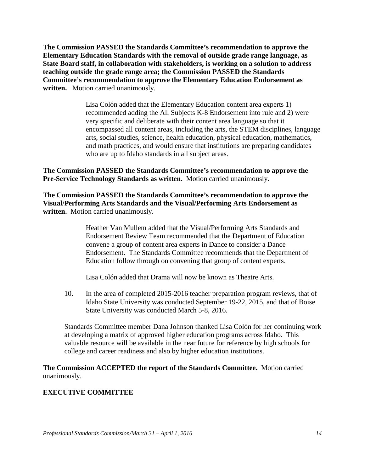**The Commission PASSED the Standards Committee's recommendation to approve the Elementary Education Standards with the removal of outside grade range language, as State Board staff, in collaboration with stakeholders, is working on a solution to address teaching outside the grade range area; the Commission PASSED the Standards Committee's recommendation to approve the Elementary Education Endorsement as written.** Motion carried unanimously.

> Lisa Colón added that the Elementary Education content area experts 1) recommended adding the All Subjects K-8 Endorsement into rule and 2) were very specific and deliberate with their content area language so that it encompassed all content areas, including the arts, the STEM disciplines, language arts, social studies, science, health education, physical education, mathematics, and math practices, and would ensure that institutions are preparing candidates who are up to Idaho standards in all subject areas.

**The Commission PASSED the Standards Committee's recommendation to approve the Pre-Service Technology Standards as written.** Motion carried unanimously.

**The Commission PASSED the Standards Committee's recommendation to approve the Visual/Performing Arts Standards and the Visual/Performing Arts Endorsement as written.** Motion carried unanimously.

> Heather Van Mullem added that the Visual/Performing Arts Standards and Endorsement Review Team recommended that the Department of Education convene a group of content area experts in Dance to consider a Dance Endorsement. The Standards Committee recommends that the Department of Education follow through on convening that group of content experts.

Lisa Colón added that Drama will now be known as Theatre Arts.

10. In the area of completed 2015-2016 teacher preparation program reviews, that of Idaho State University was conducted September 19-22, 2015, and that of Boise State University was conducted March 5-8, 2016.

Standards Committee member Dana Johnson thanked Lisa Colón for her continuing work at developing a matrix of approved higher education programs across Idaho. This valuable resource will be available in the near future for reference by high schools for college and career readiness and also by higher education institutions.

**The Commission ACCEPTED the report of the Standards Committee.** Motion carried unanimously.

#### **EXECUTIVE COMMITTEE**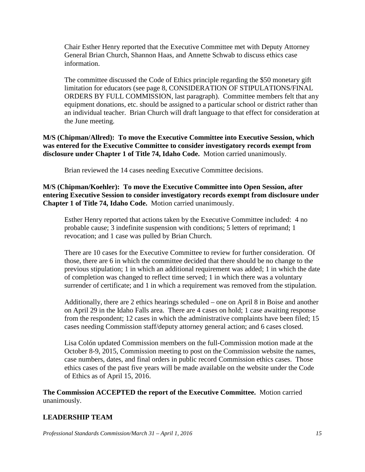Chair Esther Henry reported that the Executive Committee met with Deputy Attorney General Brian Church, Shannon Haas, and Annette Schwab to discuss ethics case information.

The committee discussed the Code of Ethics principle regarding the \$50 monetary gift limitation for educators (see page 8, CONSIDERATION OF STIPULATIONS/FINAL ORDERS BY FULL COMMISSION, last paragraph). Committee members felt that any equipment donations, etc. should be assigned to a particular school or district rather than an individual teacher. Brian Church will draft language to that effect for consideration at the June meeting.

## **M/S (Chipman/Allred): To move the Executive Committee into Executive Session, which was entered for the Executive Committee to consider investigatory records exempt from disclosure under Chapter 1 of Title 74, Idaho Code.** Motion carried unanimously.

Brian reviewed the 14 cases needing Executive Committee decisions.

## **M/S (Chipman/Koehler): To move the Executive Committee into Open Session, after entering Executive Session to consider investigatory records exempt from disclosure under Chapter 1 of Title 74, Idaho Code.** Motion carried unanimously.

Esther Henry reported that actions taken by the Executive Committee included: 4 no probable cause; 3 indefinite suspension with conditions; 5 letters of reprimand; 1 revocation; and 1 case was pulled by Brian Church.

There are 10 cases for the Executive Committee to review for further consideration. Of those, there are 6 in which the committee decided that there should be no change to the previous stipulation; 1 in which an additional requirement was added; 1 in which the date of completion was changed to reflect time served; 1 in which there was a voluntary surrender of certificate; and 1 in which a requirement was removed from the stipulation.

Additionally, there are 2 ethics hearings scheduled – one on April 8 in Boise and another on April 29 in the Idaho Falls area. There are 4 cases on hold; 1 case awaiting response from the respondent; 12 cases in which the administrative complaints have been filed; 15 cases needing Commission staff/deputy attorney general action; and 6 cases closed.

Lisa Colón updated Commission members on the full-Commission motion made at the October 8-9, 2015, Commission meeting to post on the Commission website the names, case numbers, dates, and final orders in public record Commission ethics cases. Those ethics cases of the past five years will be made available on the website under the Code of Ethics as of April 15, 2016.

**The Commission ACCEPTED the report of the Executive Committee.** Motion carried unanimously.

# **LEADERSHIP TEAM**

*Professional Standards Commission/March 31 – April 1, 2016 15*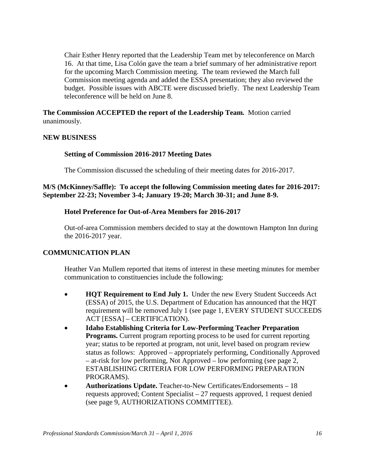Chair Esther Henry reported that the Leadership Team met by teleconference on March 16. At that time, Lisa Colón gave the team a brief summary of her administrative report for the upcoming March Commission meeting. The team reviewed the March full Commission meeting agenda and added the ESSA presentation; they also reviewed the budget. Possible issues with ABCTE were discussed briefly. The next Leadership Team teleconference will be held on June 8.

**The Commission ACCEPTED the report of the Leadership Team.** Motion carried unanimously.

#### **NEW BUSINESS**

### **Setting of Commission 2016-2017 Meeting Dates**

The Commission discussed the scheduling of their meeting dates for 2016-2017.

### **M/S (McKinney/Saffle): To accept the following Commission meeting dates for 2016-2017: September 22-23; November 3-4; January 19-20; March 30-31; and June 8-9.**

### **Hotel Preference for Out-of-Area Members for 2016-2017**

Out-of-area Commission members decided to stay at the downtown Hampton Inn during the 2016-2017 year.

## **COMMUNICATION PLAN**

Heather Van Mullem reported that items of interest in these meeting minutes for member communication to constituencies include the following:

- **HQT Requirement to End July 1.** Under the new Every Student Succeeds Act (ESSA) of 2015, the U.S. Department of Education has announced that the HQT requirement will be removed July 1 (see page 1, EVERY STUDENT SUCCEEDS ACT [ESSA] – CERTIFICATION).
- **Idaho Establishing Criteria for Low-Performing Teacher Preparation Programs.** Current program reporting process to be used for current reporting year; status to be reported at program, not unit, level based on program review status as follows: Approved – appropriately performing, Conditionally Approved – at-risk for low performing, Not Approved – low performing (see page 2, ESTABLISHING CRITERIA FOR LOW PERFORMING PREPARATION PROGRAMS).
- **Authorizations Update.** Teacher-to-New Certificates/Endorsements 18 requests approved; Content Specialist – 27 requests approved, 1 request denied (see page 9, AUTHORIZATIONS COMMITTEE).